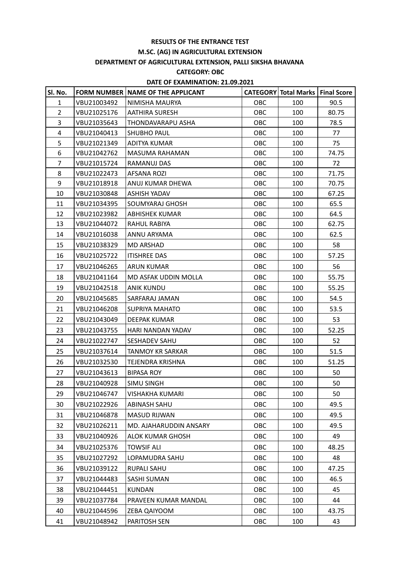### **RESULTS OF THE ENTRANCE TEST**

## **M.SC. (AG) IN AGRICULTURAL EXTENSION**

# **DEPARTMENT OF AGRICULTURAL EXTENSION, PALLI SIKSHA BHAVANA**

### **CATEGORY: OBC**

### **DATE OF EXAMINATION: 21.09.2021**

| Sl. No.        |             | FORM NUMBER NAME OF THE APPLICANT |            | <b>CATEGORY Total Marks   Final Score  </b> |       |
|----------------|-------------|-----------------------------------|------------|---------------------------------------------|-------|
| $\mathbf{1}$   | VBU21003492 | NIMISHA MAURYA                    | OBC        | 100                                         | 90.5  |
| $\overline{2}$ | VBU21025176 | <b>AATHIRA SURESH</b>             | <b>OBC</b> | 100                                         | 80.75 |
| 3              | VBU21035643 | THONDAVARAPU ASHA                 | OBC        | 100                                         | 78.5  |
| $\overline{4}$ | VBU21040413 | SHUBHO PAUL                       | OBC        | 100                                         | 77    |
| 5              | VBU21021349 | ADITYA KUMAR                      | OBC        | 100                                         | 75    |
| 6              | VBU21042762 | MASUMA RAHAMAN                    | OBC        | 100                                         | 74.75 |
| $\overline{7}$ | VBU21015724 | RAMANUJ DAS                       | OBC        | 100                                         | 72    |
| 8              | VBU21022473 | AFSANA ROZI                       | OBC        | 100                                         | 71.75 |
| 9              | VBU21018918 | ANUJ KUMAR DHEWA                  | OBC        | 100                                         | 70.75 |
| 10             | VBU21030848 | <b>ASHISH YADAV</b>               | OBC        | 100                                         | 67.25 |
| 11             | VBU21034395 | SOUMYARAJ GHOSH                   | OBC        | 100                                         | 65.5  |
| 12             | VBU21023982 | <b>ABHISHEK KUMAR</b>             | OBC        | 100                                         | 64.5  |
| 13             | VBU21044072 | RAHUL RABIYA                      | OBC        | 100                                         | 62.75 |
| 14             | VBU21016038 | ANNU ARYAMA                       | OBC        | 100                                         | 62.5  |
| 15             | VBU21038329 | <b>MD ARSHAD</b>                  | OBC        | 100                                         | 58    |
| 16             | VBU21025722 | <b>ITISHREE DAS</b>               | OBC        | 100                                         | 57.25 |
| 17             | VBU21046265 | ARUN KUMAR                        | <b>OBC</b> | 100                                         | 56    |
| 18             | VBU21041164 | MD ASFAK UDDIN MOLLA              | OBC        | 100                                         | 55.75 |
| 19             | VBU21042518 | <b>ANIK KUNDU</b>                 | OBC        | 100                                         | 55.25 |
| 20             | VBU21045685 | SARFARAJ JAMAN                    | OBC        | 100                                         | 54.5  |
| 21             | VBU21046208 | SUPRIYA MAHATO                    | OBC        | 100                                         | 53.5  |
| 22             | VBU21043049 | DEEPAK KUMAR                      | OBC        | 100                                         | 53    |
| 23             | VBU21043755 | HARI NANDAN YADAV                 | OBC        | 100                                         | 52.25 |
| 24             | VBU21022747 | SESHADEV SAHU                     | OBC        | 100                                         | 52    |
| 25             | VBU21037614 | <b>TANMOY KR SARKAR</b>           | OBC        | 100                                         | 51.5  |
| 26             | VBU21032530 | TEJENDRA KRISHNA                  | OBC        | 100                                         | 51.25 |
| 27             | VBU21043613 | <b>BIPASA ROY</b>                 | OBC        | 100                                         | 50    |
| 28             | VBU21040928 | SIMU SINGH                        | OBC        | 100                                         | 50    |
| 29             | VBU21046747 | <b>VISHAKHA KUMARI</b>            | OBC        | 100                                         | 50    |
| 30             | VBU21022926 | <b>ABINASH SAHU</b>               | OBC        | 100                                         | 49.5  |
| 31             | VBU21046878 | <b>MASUD RIJWAN</b>               | OBC        | 100                                         | 49.5  |
| 32             | VBU21026211 | MD. AJAHARUDDIN ANSARY            | OBC        | 100                                         | 49.5  |
| 33             | VBU21040926 | <b>ALOK KUMAR GHOSH</b>           | OBC        | 100                                         | 49    |
| 34             | VBU21025376 | <b>TOWSIF ALI</b>                 | OBC        | 100                                         | 48.25 |
| 35             | VBU21027292 | LOPAMUDRA SAHU                    | OBC        | 100                                         | 48    |
| 36             | VBU21039122 | <b>RUPALI SAHU</b>                | OBC        | 100                                         | 47.25 |
| 37             | VBU21044483 | <b>SASHI SUMAN</b>                | OBC        | 100                                         | 46.5  |
| 38             | VBU21044451 | <b>KUNDAN</b>                     | OBC        | 100                                         | 45    |
| 39             | VBU21037784 | PRAVEEN KUMAR MANDAL              | OBC        | 100                                         | 44    |
| 40             | VBU21044596 | ZEBA QAIYOOM                      | OBC        | 100                                         | 43.75 |
| 41             | VBU21048942 | PARITOSH SEN                      | OBC        | 100                                         | 43    |